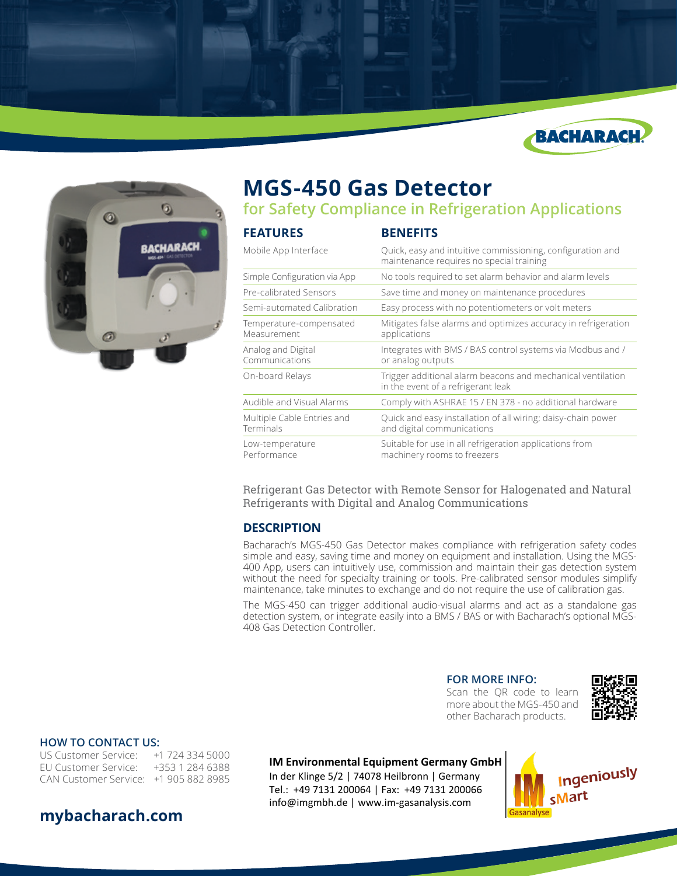



# **MGS-450 Gas Detector**

**for Safety Compliance in Refrigeration Applications**

| <b>FEATURES</b>                         | <b>BENEFITS</b>                                                                                        |  |
|-----------------------------------------|--------------------------------------------------------------------------------------------------------|--|
| Mobile App Interface                    | Quick, easy and intuitive commissioning, configuration and<br>maintenance requires no special training |  |
| Simple Configuration via App            | No tools required to set alarm behavior and alarm levels                                               |  |
| Pre-calibrated Sensors                  | Save time and money on maintenance procedures                                                          |  |
| Semi-automated Calibration              | Easy process with no potentiometers or volt meters                                                     |  |
| Temperature-compensated<br>Measurement  | Mitigates false alarms and optimizes accuracy in refrigeration<br>applications                         |  |
| Analog and Digital<br>Communications    | Integrates with BMS / BAS control systems via Modbus and /<br>or analog outputs                        |  |
| On-board Relays                         | Trigger additional alarm beacons and mechanical ventilation<br>in the event of a refrigerant leak      |  |
| Audible and Visual Alarms               | Comply with ASHRAE 15 / EN 378 - no additional hardware                                                |  |
| Multiple Cable Entries and<br>Terminals | Quick and easy installation of all wiring; daisy-chain power<br>and digital communications             |  |
| Low-temperature<br>Performance          | Suitable for use in all refrigeration applications from<br>machinery rooms to freezers                 |  |

Refrigerant Gas Detector with Remote Sensor for Halogenated and Natural Refrigerants with Digital and Analog Communications

### **DESCRIPTION**

Bacharach's MGS-450 Gas Detector makes compliance with refrigeration safety codes simple and easy, saving time and money on equipment and installation. Using the MGS-400 App, users can intuitively use, commission and maintain their gas detection system without the need for specialty training or tools. Pre-calibrated sensor modules simplify maintenance, take minutes to exchange and do not require the use of calibration gas.

The MGS-450 can trigger additional audio-visual alarms and act as a standalone gas detection system, or integrate easily into a BMS / BAS or with Bacharach's optional MGS-408 Gas Detection Controller.

#### **FOR MORE INFO:**

Scan the QR code to learn more about the MGS-450 and other Bacharach products.



#### **HOW TO CONTACT US:**

US Customer Service: +1 724 334 5000 EU Customer Service: +353 1 284 6388 CAN Customer Service: +1 905 882 8985

#### **IM Environmental Equipment Germany GmbH**

In der Klinge 5/2 | 74078 Heilbronn | Germany Tel.: +49 7131 200064 | Fax: +49 7131 200066 info@imgmbh.de | www.im-gasanalysis.com



# **mybacharach.com**